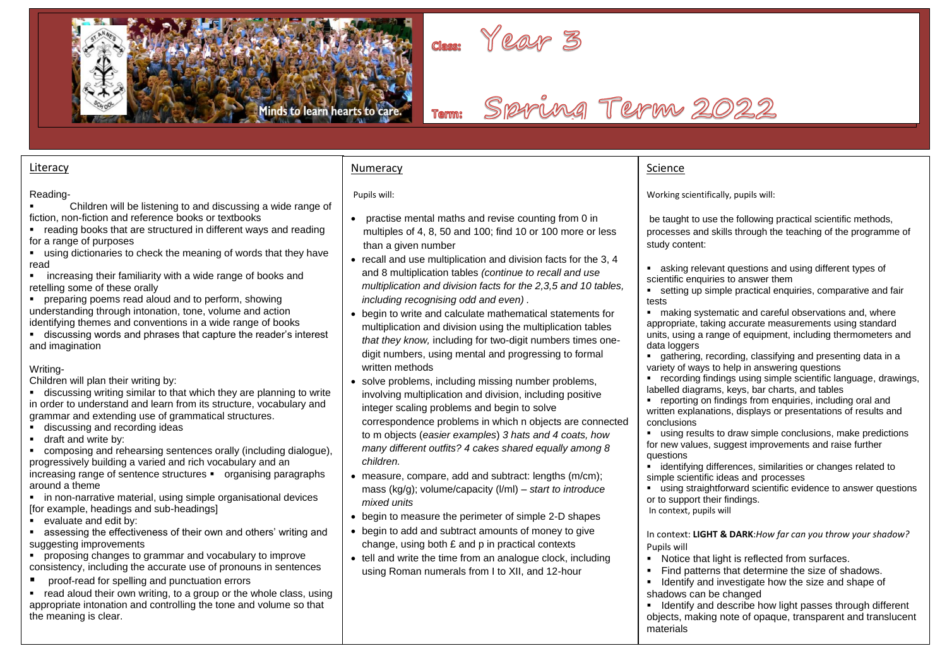



# Spyring Term 2022

#### **Literacy**

#### Reading-

- Children will be listening to and discussing a wide range of fiction, non-fiction and reference books or textbooks
- reading books that are structured in different ways and reading for a range of purposes
- using dictionaries to check the meaning of words that they have read
- increasing their familiarity with a wide range of books and retelling some of these orally
- preparing poems read aloud and to perform, showing understanding through intonation, tone, volume and action identifying themes and conventions in a wide range of books
- discussing words and phrases that capture the reader's interest and imagination

#### Writing-

Children will plan their writing by:

■ discussing writing similar to that which they are planning to write in order to understand and learn from its structure, vocabulary and grammar and extending use of grammatical structures.

- **■** discussing and recording ideas
- draft and write by:

■ composing and rehearsing sentences orally (including dialogue), progressively building a varied and rich vocabulary and an increasing range of sentence structures • organising paragraphs around a theme

- in non-narrative material, using simple organisational devices [for example, headings and sub-headings]
- evaluate and edit by:

assessing the effectiveness of their own and others' writing and suggesting improvements

- proposing changes to grammar and vocabulary to improve consistency, including the accurate use of pronouns in sentences
- proof-read for spelling and punctuation errors
- read aloud their own writing, to a group or the whole class, using appropriate intonation and controlling the tone and volume so that the meaning is clear.

#### Numeracy

Pupils will:

- practise mental maths and revise counting from 0 in multiples of 4, 8, 50 and 100; find 10 or 100 more or less than a given number
- recall and use multiplication and division facts for the 3, 4 and 8 multiplication tables *(continue to recall and use multiplication and division facts for the 2,3,5 and 10 tables, including recognising odd and even) .*
- begin to write and calculate mathematical statements for multiplication and division using the multiplication tables *that they know,* including for two-digit numbers times onedigit numbers, using mental and progressing to formal written methods
- solve problems, including missing number problems, involving multiplication and division, including positive integer scaling problems and begin to solve correspondence problems in which n objects are connected to m objects (*easier examples*) *3 hats and 4 coats, how many different outfits? 4 cakes shared equally among 8 children.*
- measure, compare, add and subtract: lengths (m/cm); mass (kg/g); volume/capacity (l/ml) – *start to introduce mixed units*
- begin to measure the perimeter of simple 2-D shapes
- begin to add and subtract amounts of money to give change, using both £ and p in practical contexts
- tell and write the time from an analogue clock, including using Roman numerals from I to XII, and 12-hour

#### Science

Working scientifically, pupils will:

be taught to use the following practical scientific methods, processes and skills through the teaching of the programme of study content:

- asking relevant questions and using different types of scientific enquiries to answer them
- setting up simple practical enquiries, comparative and fair tests
- making systematic and careful observations and, where appropriate, taking accurate measurements using standard units, using a range of equipment, including thermometers and data loggers
- gathering, recording, classifying and presenting data in a variety of ways to help in answering questions
- recording findings using simple scientific language, drawings, labelled diagrams, keys, bar charts, and tables
- reporting on findings from enquiries, including oral and written explanations, displays or presentations of results and conclusions
- using results to draw simple conclusions, make predictions for new values, suggest improvements and raise further questions
- identifying differences, similarities or changes related to simple scientific ideas and processes
- using straightforward scientific evidence to answer questions or to support their findings.
- In context, pupils will

In context: **LIGHT & DARK**:*How far can you throw your shadow?* Pupils will

- Notice that light is reflected from surfaces.
- Find patterns that determine the size of shadows. ■ Identify and investigate how the size and shape of

shadows can be changed

■ Identify and describe how light passes through different objects, making note of opaque, transparent and translucent materials